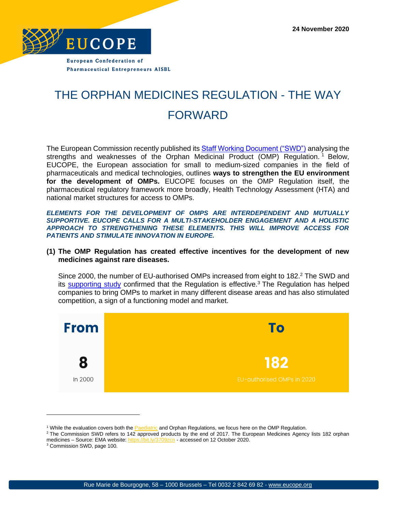

**Pharmaceutical Entrepreneurs AISBL** 

## THE ORPHAN MEDICINES REGULATION - THE WAY FORWARD

The European Commission recently published its **Staff Working Document ("SWD")** analysing the strengths and weaknesses of the Orphan Medicinal Product (OMP) Regulation.<sup>1</sup> Below, EUCOPE, the European association for small to medium-sized companies in the field of pharmaceuticals and medical technologies, outlines **ways to strengthen the EU environment for the development of OMPs.** EUCOPE focuses on the OMP Regulation itself, the pharmaceutical regulatory framework more broadly, Health Technology Assessment (HTA) and national market structures for access to OMPs.

*ELEMENTS FOR THE DEVELOPMENT OF OMPS ARE INTERDEPENDENT AND MUTUALLY SUPPORTIVE. EUCOPE CALLS FOR A MULTI-STAKEHOLDER ENGAGEMENT AND A HOLISTIC APPROACH TO STRENGTHENING THESE ELEMENTS. THIS WILL IMPROVE ACCESS FOR PATIENTS AND STIMULATE INNOVATION IN EUROPE.*

## **(1) The OMP Regulation has created effective incentives for the development of new medicines against rare diseases.**

Since 2000, the number of EU-authorised OMPs increased from eight to 182.<sup>2</sup> The SWD and its [supporting study](https://ec.europa.eu/health/sites/health/files/files/paediatrics/docs/orphan-regulation_study_final-report_en.pdf) confirmed that the Regulation is effective.<sup>3</sup> The Regulation has helped companies to bring OMPs to market in many different disease areas and has also stimulated competition, a sign of a functioning model and market.



<sup>&</sup>lt;sup>1</sup> While the evaluation covers both the **Paediatric** and Orphan Regulations, we focus here on the OMP Regulation.

<sup>&</sup>lt;sup>2</sup> The Commission SWD refers to 142 approved products by the end of 2017. The European Medicines Agency lists 182 orphan medicines – Source: EMA website:<https://bit.ly/3709zcn> - accessed on 12 October 2020.

<sup>3</sup> Commission SWD, page 100.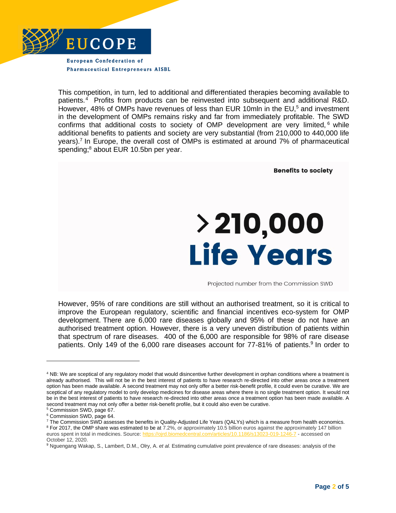

**Pharmaceutical Entrepreneurs AISBL** 

This competition, in turn, led to additional and differentiated therapies becoming available to patients.<sup>4</sup> Profits from products can be reinvested into subsequent and additional R&D. However, 48% of OMPs have revenues of less than EUR 10mln in the EU,<sup>5</sup> and investment in the development of OMPs remains risky and far from immediately profitable. The SWD confirms that additional costs to society of OMP development are very limited,  $6$  while additional benefits to patients and society are very substantial (from 210,000 to 440,000 life years).<sup>7</sup> In Europe, the overall cost of OMPs is estimated at around 7% of pharmaceutical spending;<sup>8</sup> about EUR 10.5bn per year.

> **Benefits to society** > 210,000 **Life Years** Projected number from the Commission SWD

However, 95% of rare conditions are still without an authorised treatment, so it is critical to improve the European regulatory, scientific and financial incentives eco-system for OMP development. There are 6,000 rare diseases globally and 95% of these do not have an authorised treatment option. However, there is a very uneven distribution of patients within that spectrum of rare diseases. 400 of the 6,000 are responsible for 98% of rare disease patients. Only 149 of the 6,000 rare diseases account for 77-81% of patients.<sup>9</sup> In order to

<sup>4</sup> NB: We are sceptical of any regulatory model that would disincentive further development in orphan conditions where a treatment is already authorised. This will not be in the best interest of patients to have research re-directed into other areas once a treatment option has been made available. A second treatment may not only offer a better risk-benefit profile, it could even be curative. We are sceptical of any regulatory model to only develop medicines for disease areas where there is no single treatment option. It would not be in the best interest of patients to have research re-directed into other areas once a treatment option has been made available. A second treatment may not only offer a better risk-benefit profile, but it could also even be curative.

<sup>5</sup> Commission SWD, page 67.

<sup>6</sup> Commission SWD, page 64.

<sup>7</sup> The Commission SWD assesses the benefits in Quality-Adjusted Life Years (QALYs) which is a measure from health economics. <sup>8</sup> For 2017, the OMP share was estimated to be at 7.2%, or approximately 10.5 billion euros against the approximately 147 billion euros spent in total in medicines. Source[: https://ojrd.biomedcentral.com/articles/10.1186/s13023-019-1246-7](https://ojrd.biomedcentral.com/articles/10.1186/s13023-019-1246-7) - accessed on October 12, 2020.

<sup>9</sup> Nguengang Wakap, S., Lambert, D.M., Olry, A. *et al.* Estimating cumulative point prevalence of rare diseases: analysis of the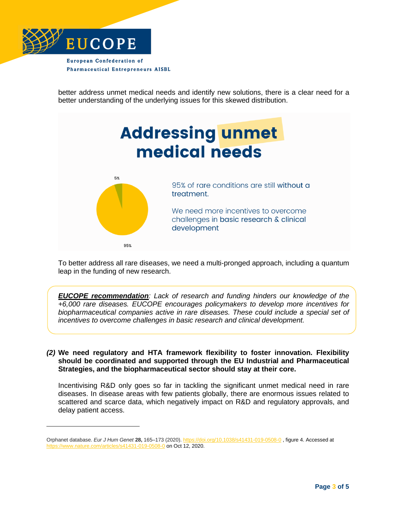

better address unmet medical needs and identify new solutions, there is a clear need for a better understanding of the underlying issues for this skewed distribution.



To better address all rare diseases, we need a multi-pronged approach, including a quantum leap in the funding of new research.

*EUCOPE recommendation: Lack of research and funding hinders our knowledge of the +6,000 rare diseases. EUCOPE encourages policymakers to develop more incentives for biopharmaceutical companies active in rare diseases. These could include a special set of incentives to overcome challenges in basic research and clinical development.*

*(2)* **We need regulatory and HTA framework flexibility to foster innovation. Flexibility should be coordinated and supported through the EU Industrial and Pharmaceutical Strategies, and the biopharmaceutical sector should stay at their core.** 

Incentivising R&D only goes so far in tackling the significant unmet medical need in rare diseases. In disease areas with few patients globally, there are enormous issues related to scattered and scarce data, which negatively impact on R&D and regulatory approvals, and delay patient access.

Orphanet database. *Eur J Hum Genet* **28,** 165–173 (2020)[. https://doi.org/10.1038/s41431-019-0508-0](https://doi.org/10.1038/s41431-019-0508-0) , figure 4. Accessed at <https://www.nature.com/articles/s41431-019-0508-0> on Oct 12, 2020.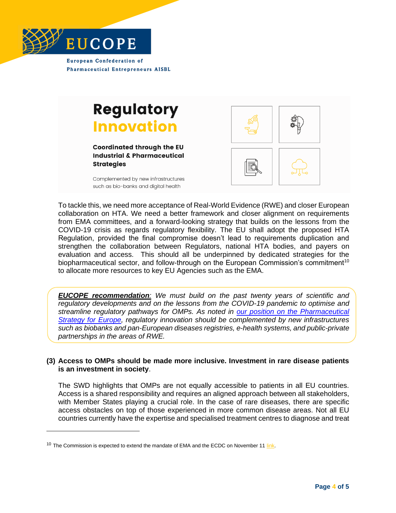

**European Confederation of Pharmaceutical Entrepreneurs AISBL** 

## **Regulatory Innovation**

**Coordinated through the EU Industrial & Pharmaceutical Strategies** 

Complemented by new infrastructures such as bio-banks and digital health



To tackle this, we need more acceptance of Real-World Evidence (RWE) and closer European collaboration on HTA. We need a better framework and closer alignment on requirements from EMA committees, and a forward-looking strategy that builds on the lessons from the COVID-19 crisis as regards regulatory flexibility. The EU shall adopt the proposed HTA Regulation, provided the final compromise doesn't lead to requirements duplication and strengthen the collaboration between Regulators, national HTA bodies, and payers on evaluation and access. This should all be underpinned by dedicated strategies for the biopharmaceutical sector, and follow-through on the European Commission's commitment<sup>10</sup> to allocate more resources to key EU Agencies such as the EMA.

*EUCOPE recommendation: We must build on the past twenty years of scientific and regulatory developments and on the lessons from the COVID-19 pandemic to optimise and streamline regulatory pathways for OMPs. As noted in [our position on the Pharmaceutical](https://www.eucope.org/eu-pharmaceutical-strategy-value-chain-approach-with-innovation-leadership-at-his-core/)  [Strategy](https://www.eucope.org/eu-pharmaceutical-strategy-value-chain-approach-with-innovation-leadership-at-his-core/) for Europe, regulatory innovation should be complemented by new infrastructures such as biobanks and pan-European diseases registries, e-health systems, and public-private partnerships in the areas of RWE.*

## **(3) Access to OMPs should be made more inclusive. Investment in rare disease patients is an investment in society**.

The SWD highlights that OMPs are not equally accessible to patients in all EU countries. Access is a shared responsibility and requires an aligned approach between all stakeholders, with Member States playing a crucial role. In the case of rare diseases, there are specific access obstacles on top of those experienced in more common disease areas. Not all EU countries currently have the expertise and specialised treatment centres to diagnose and treat

<sup>&</sup>lt;sup>10</sup> The Commission is expected to extend the mandate of EMA and the ECDC on November 11  $\frac{link}{ }$ .